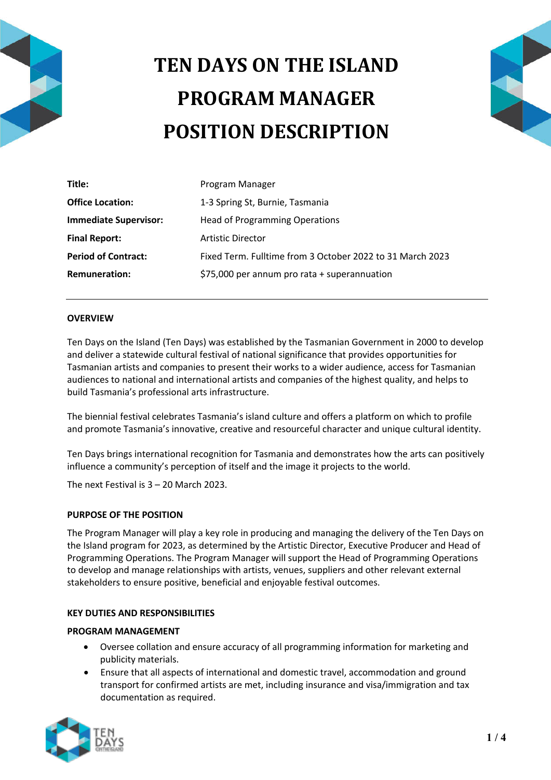

# **TEN DAYS ON THE ISLAND PROGRAM MANAGER POSITION DESCRIPTION**



| Title:                       | Program Manager                                           |
|------------------------------|-----------------------------------------------------------|
| <b>Office Location:</b>      | 1-3 Spring St, Burnie, Tasmania                           |
| <b>Immediate Supervisor:</b> | <b>Head of Programming Operations</b>                     |
| <b>Final Report:</b>         | <b>Artistic Director</b>                                  |
| <b>Period of Contract:</b>   | Fixed Term. Fulltime from 3 October 2022 to 31 March 2023 |
| <b>Remuneration:</b>         | \$75,000 per annum pro rata + superannuation              |

# **OVERVIEW**

Ten Days on the Island (Ten Days) was established by the Tasmanian Government in 2000 to develop and deliver a statewide cultural festival of national significance that provides opportunities for Tasmanian artists and companies to present their works to a wider audience, access for Tasmanian audiences to national and international artists and companies of the highest quality, and helps to build Tasmania's professional arts infrastructure.

The biennial festival celebrates Tasmania's island culture and offers a platform on which to profile and promote Tasmania's innovative, creative and resourceful character and unique cultural identity.

Ten Days brings international recognition for Tasmania and demonstrates how the arts can positively influence a community's perception of itself and the image it projects to the world.

The next Festival is 3 – 20 March 2023.

## **PURPOSE OF THE POSITION**

The Program Manager will play a key role in producing and managing the delivery of the Ten Days on the Island program for 2023, as determined by the Artistic Director, Executive Producer and Head of Programming Operations. The Program Manager will support the Head of Programming Operations to develop and manage relationships with artists, venues, suppliers and other relevant external stakeholders to ensure positive, beneficial and enjoyable festival outcomes.

## **KEY DUTIES AND RESPONSIBILITIES**

## **PROGRAM MANAGEMENT**

- Oversee collation and ensure accuracy of all programming information for marketing and publicity materials.
- Ensure that all aspects of international and domestic travel, accommodation and ground transport for confirmed artists are met, including insurance and visa/immigration and tax documentation as required.

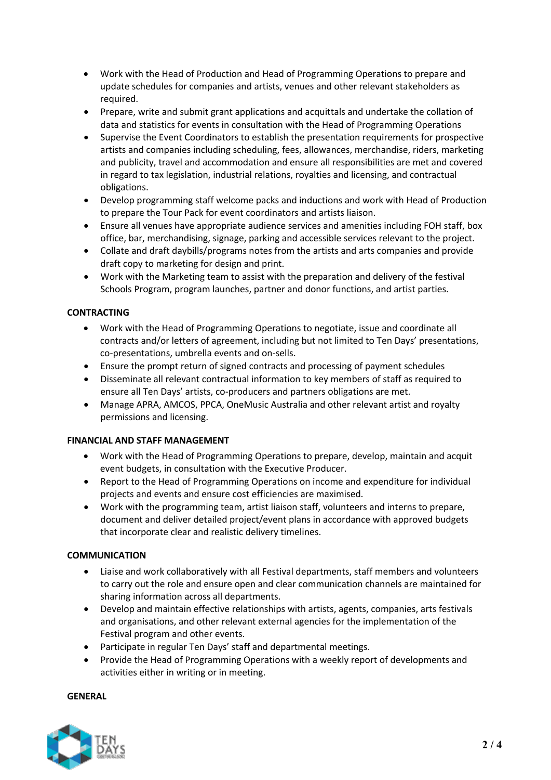- Work with the Head of Production and Head of Programming Operations to prepare and update schedules for companies and artists, venues and other relevant stakeholders as required.
- Prepare, write and submit grant applications and acquittals and undertake the collation of data and statistics for events in consultation with the Head of Programming Operations
- Supervise the Event Coordinators to establish the presentation requirements for prospective artists and companies including scheduling, fees, allowances, merchandise, riders, marketing and publicity, travel and accommodation and ensure all responsibilities are met and covered in regard to tax legislation, industrial relations, royalties and licensing, and contractual obligations.
- Develop programming staff welcome packs and inductions and work with Head of Production to prepare the Tour Pack for event coordinators and artists liaison.
- Ensure all venues have appropriate audience services and amenities including FOH staff, box office, bar, merchandising, signage, parking and accessible services relevant to the project.
- Collate and draft daybills/programs notes from the artists and arts companies and provide draft copy to marketing for design and print.
- Work with the Marketing team to assist with the preparation and delivery of the festival Schools Program, program launches, partner and donor functions, and artist parties.

# **CONTRACTING**

- Work with the Head of Programming Operations to negotiate, issue and coordinate all contracts and/or letters of agreement, including but not limited to Ten Days' presentations, co-presentations, umbrella events and on-sells.
- Ensure the prompt return of signed contracts and processing of payment schedules
- Disseminate all relevant contractual information to key members of staff as required to ensure all Ten Days' artists, co-producers and partners obligations are met.
- Manage APRA, AMCOS, PPCA, OneMusic Australia and other relevant artist and royalty permissions and licensing.

# **FINANCIAL AND STAFF MANAGEMENT**

- Work with the Head of Programming Operations to prepare, develop, maintain and acquit event budgets, in consultation with the Executive Producer.
- Report to the Head of Programming Operations on income and expenditure for individual projects and events and ensure cost efficiencies are maximised.
- Work with the programming team, artist liaison staff, volunteers and interns to prepare, document and deliver detailed project/event plans in accordance with approved budgets that incorporate clear and realistic delivery timelines.

# **COMMUNICATION**

- Liaise and work collaboratively with all Festival departments, staff members and volunteers to carry out the role and ensure open and clear communication channels are maintained for sharing information across all departments.
- Develop and maintain effective relationships with artists, agents, companies, arts festivals and organisations, and other relevant external agencies for the implementation of the Festival program and other events.
- Participate in regular Ten Days' staff and departmental meetings.
- Provide the Head of Programming Operations with a weekly report of developments and activities either in writing or in meeting.

**GENERAL** 

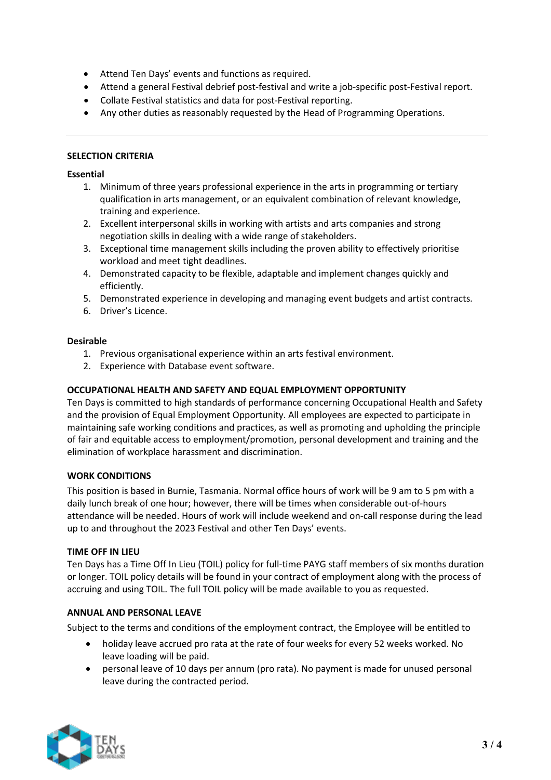- Attend Ten Days' events and functions as required.
- Attend a general Festival debrief post-festival and write a job-specific post-Festival report.
- Collate Festival statistics and data for post-Festival reporting.
- Any other duties as reasonably requested by the Head of Programming Operations.

## **SELECTION CRITERIA**

## **Essential**

- 1. Minimum of three years professional experience in the arts in programming or tertiary qualification in arts management, or an equivalent combination of relevant knowledge, training and experience.
- 2. Excellent interpersonal skills in working with artists and arts companies and strong negotiation skills in dealing with a wide range of stakeholders.
- 3. Exceptional time management skills including the proven ability to effectively prioritise workload and meet tight deadlines.
- 4. Demonstrated capacity to be flexible, adaptable and implement changes quickly and efficiently.
- 5. Demonstrated experience in developing and managing event budgets and artist contracts.
- 6. Driver's Licence.

## **Desirable**

- 1. Previous organisational experience within an arts festival environment.
- 2. Experience with Database event software.

# **OCCUPATIONAL HEALTH AND SAFETY AND EQUAL EMPLOYMENT OPPORTUNITY**

Ten Days is committed to high standards of performance concerning Occupational Health and Safety and the provision of Equal Employment Opportunity. All employees are expected to participate in maintaining safe working conditions and practices, as well as promoting and upholding the principle of fair and equitable access to employment/promotion, personal development and training and the elimination of workplace harassment and discrimination.

## **WORK CONDITIONS**

This position is based in Burnie, Tasmania. Normal office hours of work will be 9 am to 5 pm with a daily lunch break of one hour; however, there will be times when considerable out-of-hours attendance will be needed. Hours of work will include weekend and on-call response during the lead up to and throughout the 2023 Festival and other Ten Days' events.

## **TIME OFF IN LIEU**

Ten Days has a Time Off In Lieu (TOIL) policy for full-time PAYG staff members of six months duration or longer. TOIL policy details will be found in your contract of employment along with the process of accruing and using TOIL. The full TOIL policy will be made available to you as requested.

## **ANNUAL AND PERSONAL LEAVE**

Subject to the terms and conditions of the employment contract, the Employee will be entitled to

- holiday leave accrued pro rata at the rate of four weeks for every 52 weeks worked. No leave loading will be paid.
- personal leave of 10 days per annum (pro rata). No payment is made for unused personal leave during the contracted period.